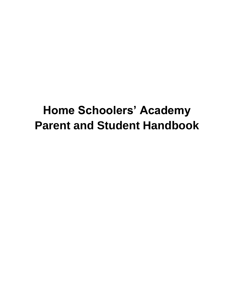# **Home Schoolers' Academy Parent and Student Handbook**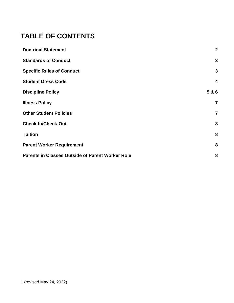## **TABLE OF CONTENTS**

| <b>Doctrinal Statement</b>                              | $\overline{2}$          |
|---------------------------------------------------------|-------------------------|
| <b>Standards of Conduct</b>                             | 3                       |
| <b>Specific Rules of Conduct</b>                        | 3                       |
| <b>Student Dress Code</b>                               | $\overline{\mathbf{4}}$ |
| <b>Discipline Policy</b>                                | 5 & 6                   |
| <b>Illness Policy</b>                                   | 7                       |
| <b>Other Student Policies</b>                           | 7                       |
| <b>Check-In/Check-Out</b>                               | 8                       |
| <b>Tuition</b>                                          | 8                       |
| <b>Parent Worker Requirement</b>                        | 8                       |
| <b>Parents in Classes Outside of Parent Worker Role</b> | 8                       |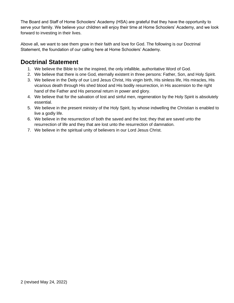The Board and Staff of Home Schoolers' Academy (HSA) are grateful that they have the opportunity to serve your family. We believe your children will enjoy their time at Home Schoolers' Academy, and we look forward to investing in their lives.

Above all, we want to see them grow in their faith and love for God. The following is our Doctrinal Statement, the foundation of our calling here at Home Schoolers' Academy.

### **Doctrinal Statement**

- 1. We believe the Bible to be the inspired, the only infallible, authoritative Word of God.
- 2. We believe that there is one God, eternally existent in three persons: Father, Son, and Holy Spirit.
- 3. We believe in the Deity of our Lord Jesus Christ, His virgin birth, His sinless life, His miracles, His vicarious death through His shed blood and His bodily resurrection, in His ascension to the right hand of the Father and His personal return in power and glory.
- 4. We believe that for the salvation of lost and sinful men, regeneration by the Holy Spirit is absolutely essential.
- 5. We believe in the present ministry of the Holy Spirit, by whose indwelling the Christian is enabled to live a godly life.
- 6. We believe in the resurrection of both the saved and the lost; they that are saved unto the resurrection of life and they that are lost unto the resurrection of damnation.
- 7. We believe in the spiritual unity of believers in our Lord Jesus Christ.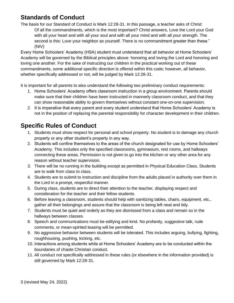### **Standards of Conduct**

The basis for our Standard of Conduct is Mark 12:28-31. In this passage, a teacher asks of Christ: Of all the commandments, which is the most important? Christ answers, Love the Lord your God with all your heart and with all your soul and with all your mind and with all your strength. The second is this: Love your neighbor as yourself. There is no commandment greater than these." (NIV)

Every Home Schoolers' Academy (HSA) student must understand that all behavior at Home Schoolers' Academy will be governed by the Biblical principles above: honoring and loving the Lord and honoring and loving one another. For the sake of instructing our children in the practical working out of these commandments, some additional specific direction is offered within this code; however, all behavior, whether specifically addressed or not, will be judged by Mark 12:28-31.

It is important for all parents to also understand the following two preliminary conduct requirements:

- 1. Home Schoolers' Academy offers classroom instruction in a group environment. Parents should make sure that their children have been instructed in mannerly classroom conduct, and that they can show reasonable ability to govern themselves without constant one-on-one supervision.
- 2. It is imperative that every parent and every student understand that Home Schoolers' Academy is not in the position of replacing the parental responsibility for character development in their children.

### **Specific Rules of Conduct**

- 1. Students must show respect for personal and school property. No student is to damage any church property or any other student's property in any way.
- 2. Students will confine themselves to the areas of the church designated for use by Home Schoolers' Academy. This includes only the specified classrooms, gymnasium, rest rooms, and hallways connecting these areas. Permission is not given to go into the kitchen or any other area for any reason without teacher supervision.
- 3. There will be no running in the building except as permitted in Physical Education Class. Students are to walk from class to class.
- 4. Students are to submit to instruction and discipline from the adults placed in authority over them in the Lord in a prompt, respectful manner.
- 5. During class, students are to direct their attention to the teacher, displaying respect and consideration for the teacher and their fellow students.
- 6. Before leaving a classroom, students should help with sanitizing tables, chairs, equipment, etc., gather all their belongings and assure that the classroom is being left neat and tidy.
- 7. Students must be quiet and orderly as they are dismissed from a class and remain so in the hallways between classes.
- 8. Speech and communications must be edifying and kind. No profanity, suggestive talk, rude comments, or mean-spirited teasing will be permitted.
- 9. No aggressive behavior between students will be tolerated. This includes arguing, bullying, fighting, roughhousing, pushing, kicking, etc.
- 10. Interactions among students while at Home Schoolers' Academy are to be conducted within the boundaries of chaste Christian conduct.
- 11. All conduct not specifically addressed in these rules (or elsewhere in the information provided) is still governed by Mark 12:28-31.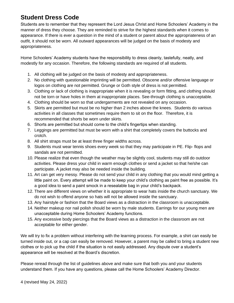### **Student Dress Code**

Students are to remember that they represent the Lord Jesus Christ and Home Schoolers' Academy in the manner of dress they choose. They are reminded to strive for the highest standards when it comes to appearance. If there is ever a question in the mind of a student or parent about the appropriateness of an outfit, it should not be worn. All outward appearances will be judged on the basis of modesty and appropriateness.

Home Schoolers' Academy students have the responsibility to dress cleanly, tastefully, neatly, and modestly for any occasion. Therefore, the following standards are required of all students.

- 1. All clothing will be judged on the basis of modesty and appropriateness.
- 2. No clothing with questionable imprinting will be permitted. Obscene and/or offensive language or logos on clothing are not permitted. Grunge or Goth style of dress is not permitted.
- 3. Clothing or lack of clothing is inappropriate when it is revealing or form fitting, and clothing should not be torn or have holes in them at inappropriate places. See-through clothing is unacceptable.
- 4. Clothing should be worn so that undergarments are not revealed on any occasion.
- 5. Skirts are permitted but must be no higher than 2 inches above the knees. Students do various activities in all classes that sometimes require them to sit on the floor. Therefore, it is recommended that shorts be worn under skirts.
- 6. Shorts are permitted but should come to the child's fingertips when standing.
- 7. Leggings are permitted but must be worn with a shirt that completely covers the buttocks and crotch.
- 8. All shirt straps must be at least three finger widths across.
- 9. Students must wear tennis shoes every week so that they may participate in PE. Flip- flops and sandals are not permitted.
- 10. Please realize that even though the weather may be slightly cool, students may still do outdoor activities. Please dress your child in warm enough clothes or send a jacket so that he/she can participate. A jacket may also be needed inside the building.
- 11. Art can get very messy. Please do not send your child in any clothing that you would mind getting a little paint on. Every attempt will be made to keep your child's clothing as paint free as possible. It's a good idea to send a paint smock in a resealable bag in your child's backpack.
- 12. There are different views on whether it is appropriate to wear hats inside the church sanctuary. We do not wish to offend anyone so hats will not be allowed inside the sanctuary.
- 13. Any hairstyle or fashion that the Board views as a distraction in the classroom is unacceptable.
- 14. Neither makeup nor nail polish should be worn by male students. Earrings for our young men are unacceptable during Home Schoolers' Academy functions.
- 15. Any excessive body piercings that the Board views as a distraction in the classroom are not acceptable for either gender.

We will try to fix a problem without interfering with the learning process. For example, a shirt can easily be turned inside out, or a cap can easily be removed. However, a parent may be called to bring a student new clothes or to pick up the child if the situation is not easily addressed. Any dispute over a student's appearance will be resolved at the Board's discretion.

Please reread through the list of guidelines above and make sure that both you and your students understand them. If you have any questions, please call the Home Schoolers' Academy Director.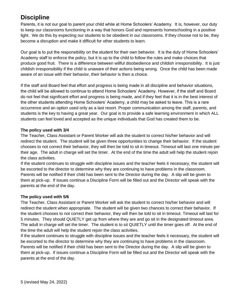### **Discipline**

Parents, it is not our goal to parent your child while at Home Schoolers' Academy. It is, however, our duty to keep our classrooms functioning in a way that honors God and represents homeschooling in a positive light. We do this by expecting our students to be obedient in our classrooms. If they choose not to be, they become a disruption and make it difficult for other students to learn.

Our goal is to put the responsibility on the student for their own behavior. It is the duty of Home Schoolers' Academy staff to enforce the policy, but it is up to the child to follow the rules and make choices that produce good fruit. There is a difference between willful disobedience and childish irresponsibility. It is just childish irresponsibility if the child is unaware of their actions being wrong. Once the child has been made aware of an issue with their behavior, their behavior is then a choice.

If the staff and Board feel that effort and progress is being made in all discipline and behavior situations, the child will be allowed to continue to attend Home Schoolers' Academy. However, if the staff and Board do not feel that significant effort and progress is being made, and if they feel that it is in the best interest of the other students attending Home Schoolers' Academy, a child may be asked to leave. This is a rare occurrence and an option used only as a last resort. Proper communication among the staff, parents, and students is the key to having a great year. Our goal is to provide a safe learning environment in which ALL students can feel loved and accepted as the unique individuals that God has created them to be.

#### **The policy used with 3/4**

The Teacher, Class Assistant or Parent Worker will ask the student to correct his/her behavior and will redirect the student. The student will be given three opportunities to change their behavior. If the student chooses to not correct their behavior, they will then be told to sit in timeout. Timeout will last one minute per their age. The adult in charge will set the timer. At the end of the time the adult will help the student rejoin the class activities.

If the student continues to struggle with discipline issues and the teacher feels it necessary, the student will be escorted to the director to determine why they are continuing to have problems in the classroom. Parents will be notified if their child has been sent to the Director during the day. A slip will be given to them at pick-up. If issues continue a Discipline Form will be filled out and the Director will speak with the parents at the end of the day.

#### **The policy used with 5/6**

The Teacher, Class Assistant or Parent Worker will ask the student to correct his/her behavior and will redirect the student when appropriate. The student will be given two chances to correct their behavior. If the student chooses to not correct their behavior, they will then be told to sit in timeout. Timeout will last for 5 minutes. They should QUIETLY get up from where they are and go sit in the designated timeout area. The adult in charge will set the timer. The student is to sit QUIETLY until the timer goes off. At the end of the time the adult will help the student rejoin the class activities.

If the student continues to struggle with discipline issues and the teacher feels it necessary, the student will be escorted to the director to determine why they are continuing to have problems in the classroom. Parents will be notified if their child has been sent to the Director during the day. A slip will be given to them at pick-up. If issues continue a Discipline Form will be filled out and the Director will speak with the parents at the end of the day.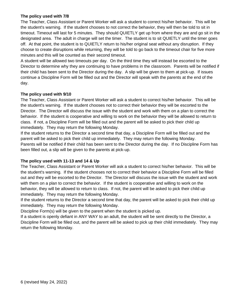#### **The policy used with 7/8**

The Teacher, Class Assistant or Parent Worker will ask a student to correct his/her behavior. This will be the student's warning. If the student chooses to not correct the behavior, they will then be told to sit in timeout. Timeout will last for 5 minutes. They should QUIETLY get up from where they are and go sit in the designated area. The adult in charge will set the timer. The student is to sit QUIETLY until the timer goes off. At that point, the student is to QUIETLY return to his/her original seat without any disruption. If they choose to create disruptions while returning, they will be told to go back to the timeout chair for five more minutes and this will be counted as their second timeout.

A student will be allowed two timeouts per day. On the third time they will instead be escorted to the Director to determine why they are continuing to have problems in the classroom. Parents will be notified if their child has been sent to the Director during the day. A slip will be given to them at pick-up. If issues continue a Discipline Form will be filled out and the Director will speak with the parents at the end of the day.

#### **The policy used with 9/10**

The Teacher, Class Assistant or Parent Worker will ask a student to correct his/her behavior. This will be the student's warning. If the student chooses not to correct their behavior they will be escorted to the Director. The Director will discuss the issue with the student and work with them on a plan to correct the behavior. If the student is cooperative and willing to work on the behavior they will be allowed to return to class. If not, a Discipline Form will be filled out and the parent will be asked to pick their child up immediately. They may return the following Monday.

If the student returns to the Director a second time that day, a Discipline Form will be filled out and the parent will be asked to pick their child up immediately. They may return the following Monday. Parents will be notified if their child has been sent to the Director during the day. If no Discipline Form has been filled out, a slip will be given to the parents at pick-up.

#### **The policy used with 11-13 and 14 & Up**

The Teacher, Class Assistant or Parent Worker will ask a student to correct his/her behavior. This will be the student's warning. If the student chooses not to correct their behavior a Discipline Form will be filled out and they will be escorted to the Director. The Director will discuss the issue with the student and work with them on a plan to correct the behavior. If the student is cooperative and willing to work on the behavior, they will be allowed to return to class. If not, the parent will be asked to pick their child up immediately. They may return the following Monday.

If the student returns to the Director a second time that day, the parent will be asked to pick their child up immediately. They may return the following Monday.

Discipline Form(s) will be given to the parent when the student is picked up.

If a student is openly defiant in ANY WAY to an adult, the student will be sent directly to the Director, a Discipline Form will be filled out, and the parent will be asked to pick up their child immediately. They may return the following Monday.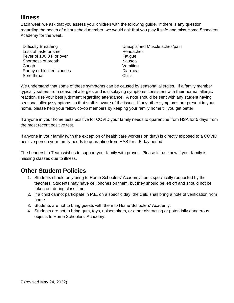### **Illness**

Each week we ask that you assess your children with the following guide. If there is any question regarding the health of a household member, we would ask that you play it safe and miss Home Schoolers' Academy for the week.

| Difficulty Breathing     | Unexplained Muscle aches/pain |
|--------------------------|-------------------------------|
| Loss of taste or smell   | Headaches                     |
| Fever of 100.0 F or over | Fatigue                       |
| Shortness of breath      | Nausea                        |
| Cough                    | Vomiting                      |
| Runny or blocked sinuses | Diarrhea                      |
| Sore throat              | Chills                        |

We understand that some of these symptoms can be caused by seasonal allergies. If a family member typically suffers from seasonal allergies and is displaying symptoms consistent with their normal allergic reaction, use your best judgment regarding attendance. A note should be sent with any student having seasonal allergy symptoms so that staff is aware of the issue. If any other symptoms are present in your home, please help your fellow co-op members by keeping your family home till you get better.

If anyone in your home tests positive for COVID your family needs to quarantine from HSA for 5 days from the most recent positive test.

If anyone in your family (with the exception of health care workers on duty) is directly exposed to a COVID positive person your family needs to quarantine from HAS for a 5-day period.

The Leadership Team wishes to support your family with prayer. Please let us know if your family is missing classes due to illness.

### **Other Student Policies**

- 1. Students should only bring to Home Schoolers' Academy items specifically requested by the teachers. Students may have cell phones on them, but they should be left off and should not be taken out during class time.
- 2. If a child cannot participate in P.E. on a specific day, the child shall bring a note of verification from home.
- 3. Students are not to bring guests with them to Home Schoolers' Academy.
- 4. Students are not to bring gum, toys, noisemakers, or other distracting or potentially dangerous objects to Home Schoolers' Academy.